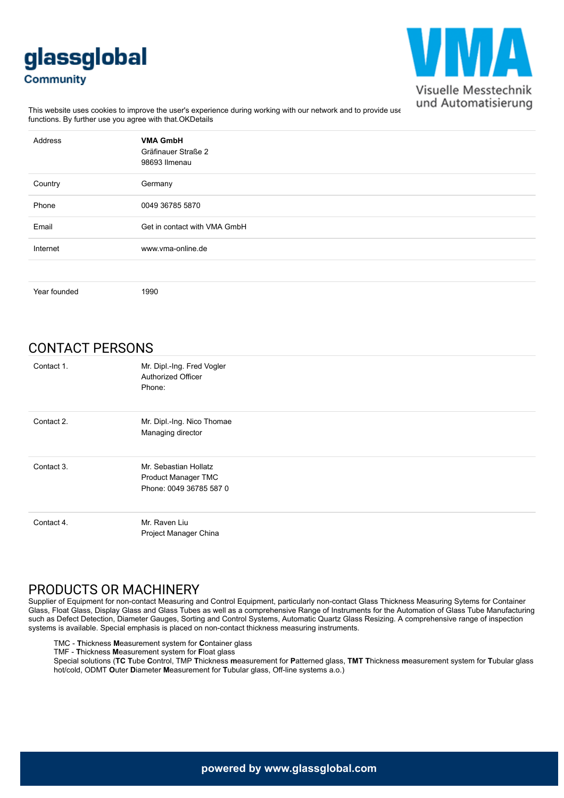# glassglobal **Community**



This website uses cookies to improve the user's experience during working with our network and to provide use<br>This website uses cookies to improve the user's experience during working with our network and to provide use functions. By further use you agree with that.OKDetails

| Address      | <b>VMA GmbH</b><br>Gräfinauer Straße 2<br>98693 Ilmenau |
|--------------|---------------------------------------------------------|
| Country      | Germany                                                 |
| Phone        | 0049 36785 5870                                         |
| Email        | Get in contact with VMA GmbH                            |
| Internet     | www.yma-online.de                                       |
|              |                                                         |
| Year founded | 1990                                                    |

## CONTACT PERSONS

| Contact 1. | Mr. Dipl.-Ing. Fred Vogler<br>Authorized Officer<br>Phone:              |
|------------|-------------------------------------------------------------------------|
| Contact 2. | Mr. Dipl.-Ing. Nico Thomae<br>Managing director                         |
| Contact 3. | Mr. Sebastian Hollatz<br>Product Manager TMC<br>Phone: 0049 36785 587 0 |
| Contact 4. | Mr. Raven Liu<br>Project Manager China                                  |

#### PRODUCTS OR MACHINERY

Supplier of Equipment for non-contact Measuring and Control Equipment, particularly non-contact Glass Thickness Measuring Sytems for Container Glass, Float Glass, Display Glass and Glass Tubes as well as a comprehensive Range of Instruments for the Automation of Glass Tube Manufacturing such as Defect Detection, Diameter Gauges, Sorting and Control Systems, Automatic Quartz Glass Resizing. A comprehensive range of inspection systems is available. Special emphasis is placed on non-contact thickness measuring instruments.

TMC - **T**hickness **M**easurement system for **C**ontainer glass

TMF - **T**hickness **M**easurement system for **F**loat glass

Special solutions (**TC T**ube **C**ontrol, TMP **T**hickness **m**easurement for **P**atterned glass, **TMT T**hickness **m**easurement system for **T**ubular glass hot/cold, ODMT **O**uter **D**iameter **M**easurement for **T**ubular glass, Off-line systems a.o.)